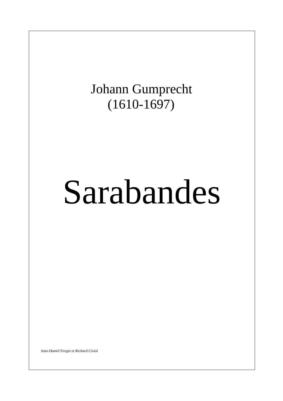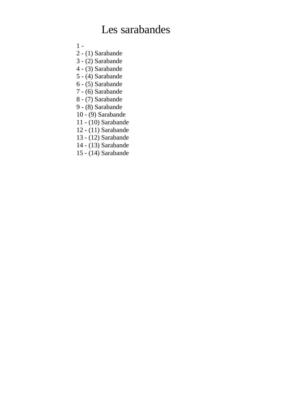## Les sarabandes

1 -

2 - (1) Sarabande

3 - (2) Sarabande

4 - (3) Sarabande

5 - (4) Sarabande

6 - (5) Sarabande

7 - (6) Sarabande

8 - (7) Sarabande

- 9 (8) Sarabande
- 10 (9) Sarabande
- 11 (10) Sarabande
- 12 (11) Sarabande
- 13 (12) Sarabande
- 14 (13) Sarabande

15 - (14) Sarabande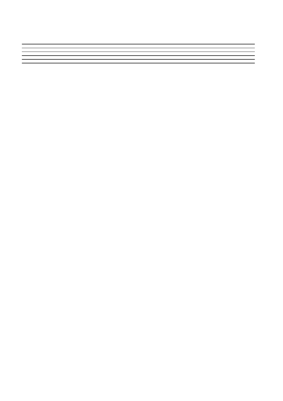$\frac{1}{1}$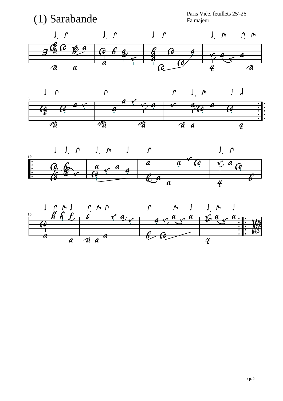





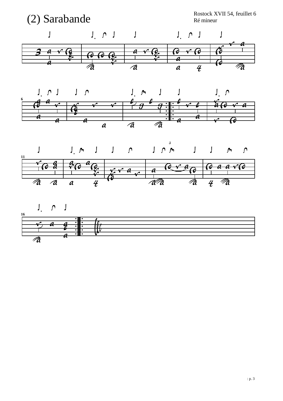



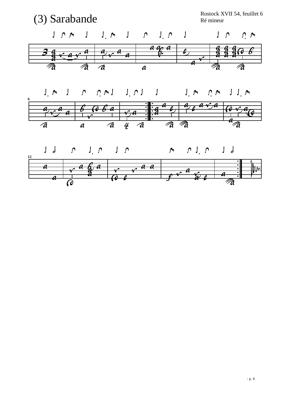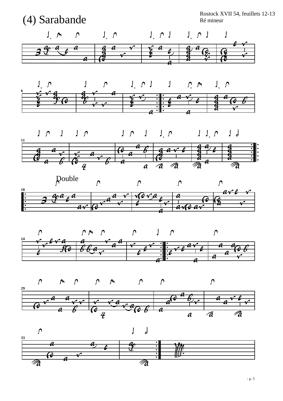

: p. 5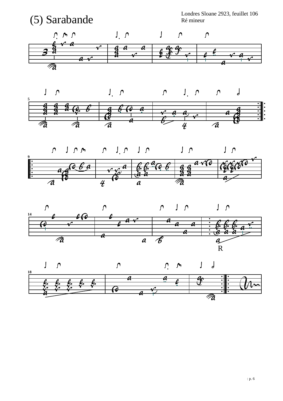









: p. 6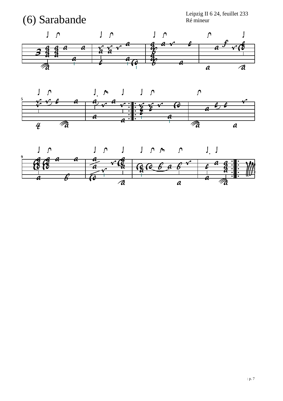## (6) Sarabande Leipzig II 6 24, feuillet 233 Ré mineur





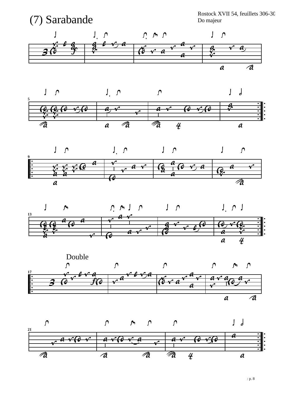









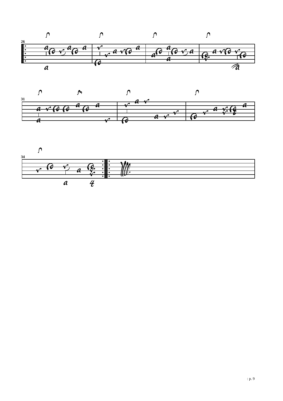



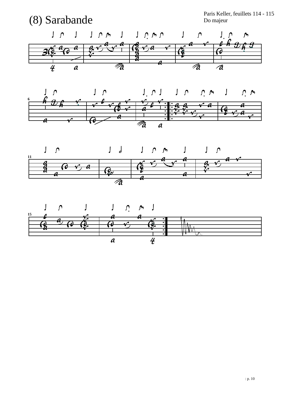





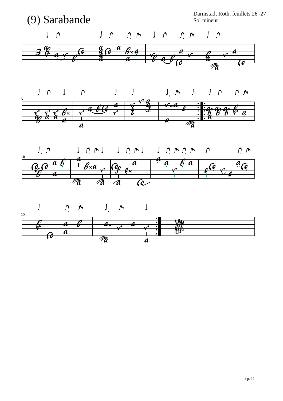

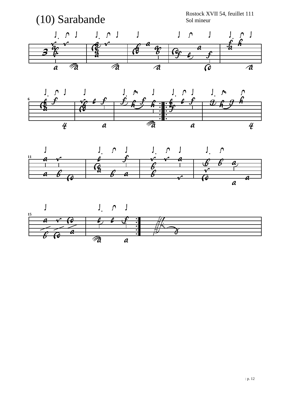





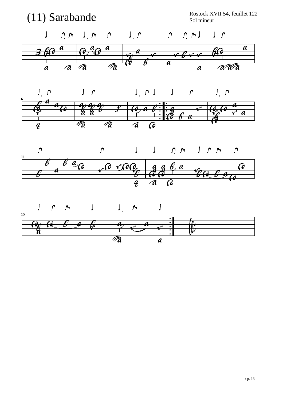





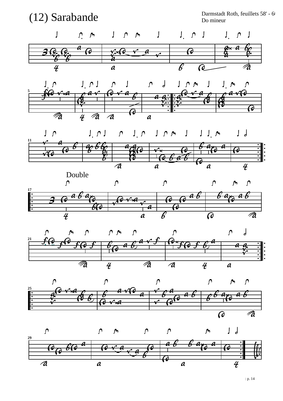



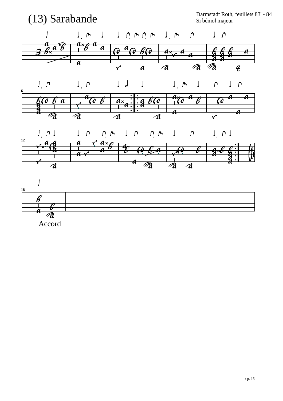